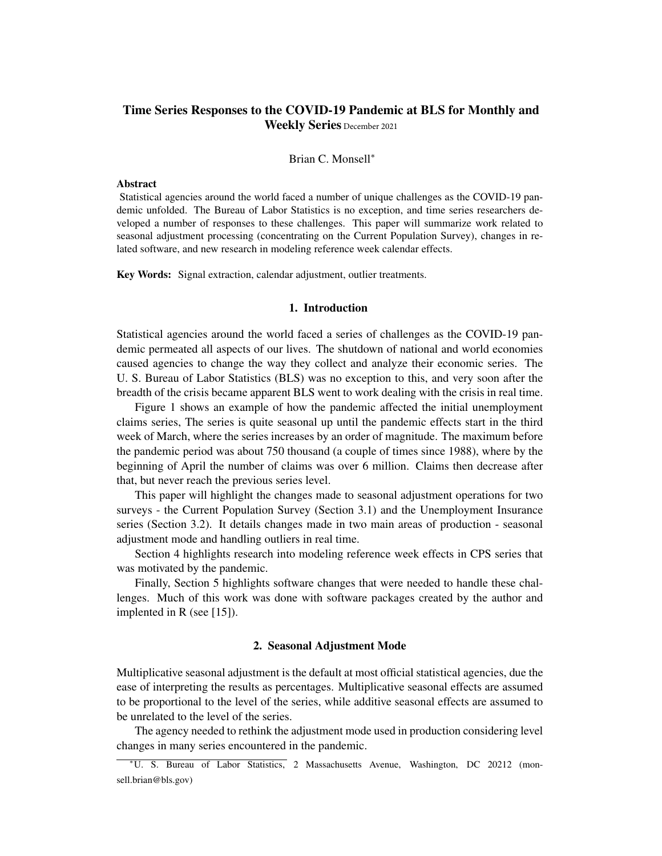# Time Series Responses to the COVID-19 Pandemic at BLS for Monthly and Weekly Series December 2021

### Brian C. Monsell<sup>∗</sup>

# Abstract

Statistical agencies around the world faced a number of unique challenges as the COVID-19 pandemic unfolded. The Bureau of Labor Statistics is no exception, and time series researchers developed a number of responses to these challenges. This paper will summarize work related to seasonal adjustment processing (concentrating on the Current Population Survey), changes in related software, and new research in modeling reference week calendar effects.

Key Words: Signal extraction, calendar adjustment, outlier treatments.

### 1. Introduction

Statistical agencies around the world faced a series of challenges as the COVID-19 pandemic permeated all aspects of our lives. The shutdown of national and world economies caused agencies to change the way they collect and analyze their economic series. The U. S. Bureau of Labor Statistics (BLS) was no exception to this, and very soon after the breadth of the crisis became apparent BLS went to work dealing with the crisis in real time.

Figure 1 shows an example of how the pandemic affected the initial unemployment claims series, The series is quite seasonal up until the pandemic effects start in the third week of March, where the series increases by an order of magnitude. The maximum before the pandemic period was about 750 thousand (a couple of times since 1988), where by the beginning of April the number of claims was over 6 million. Claims then decrease after that, but never reach the previous series level.

This paper will highlight the changes made to seasonal adjustment operations for two surveys - the Current Population Survey (Section 3.1) and the Unemployment Insurance series (Section 3.2). It details changes made in two main areas of production - seasonal adjustment mode and handling outliers in real time.

Section 4 highlights research into modeling reference week effects in CPS series that was motivated by the pandemic.

Finally, Section 5 highlights software changes that were needed to handle these challenges. Much of this work was done with software packages created by the author and implented in R (see [15]).

### 2. Seasonal Adjustment Mode

Multiplicative seasonal adjustment is the default at most official statistical agencies, due the ease of interpreting the results as percentages. Multiplicative seasonal effects are assumed to be proportional to the level of the series, while additive seasonal effects are assumed to be unrelated to the level of the series.

The agency needed to rethink the adjustment mode used in production considering level changes in many series encountered in the pandemic.

<sup>∗</sup>U. S. Bureau of Labor Statistics, 2 Massachusetts Avenue, Washington, DC 20212 (monsell.brian@bls.gov)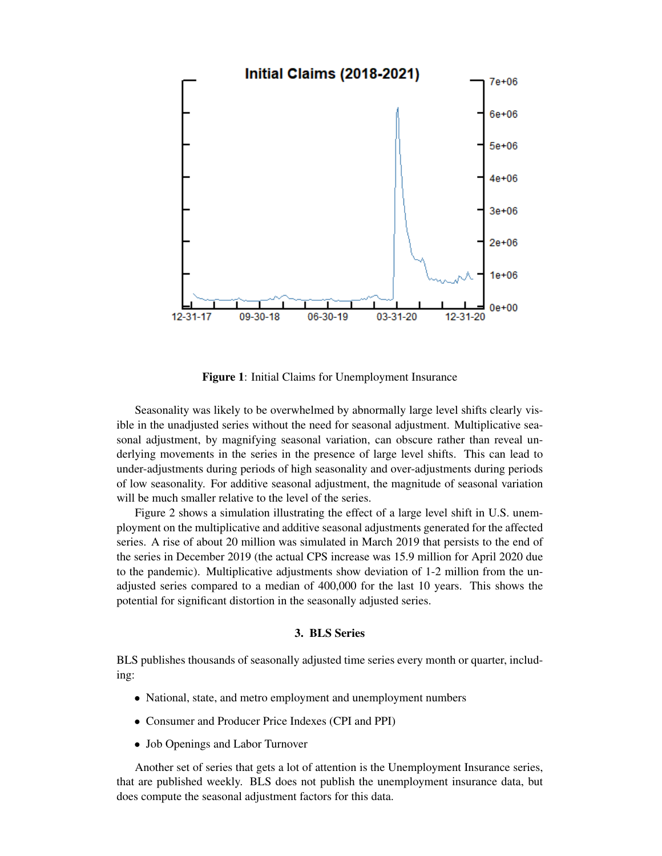

Figure 1: Initial Claims for Unemployment Insurance

Seasonality was likely to be overwhelmed by abnormally large level shifts clearly visible in the unadjusted series without the need for seasonal adjustment. Multiplicative seasonal adjustment, by magnifying seasonal variation, can obscure rather than reveal underlying movements in the series in the presence of large level shifts. This can lead to under-adjustments during periods of high seasonality and over-adjustments during periods of low seasonality. For additive seasonal adjustment, the magnitude of seasonal variation will be much smaller relative to the level of the series.

Figure 2 shows a simulation illustrating the effect of a large level shift in U.S. unemployment on the multiplicative and additive seasonal adjustments generated for the affected series. A rise of about 20 million was simulated in March 2019 that persists to the end of the series in December 2019 (the actual CPS increase was 15.9 million for April 2020 due to the pandemic). Multiplicative adjustments show deviation of 1-2 million from the unadjusted series compared to a median of 400,000 for the last 10 years. This shows the potential for significant distortion in the seasonally adjusted series.

### 3. BLS Series

BLS publishes thousands of seasonally adjusted time series every month or quarter, including:

- National, state, and metro employment and unemployment numbers
- Consumer and Producer Price Indexes (CPI and PPI)
- Job Openings and Labor Turnover

Another set of series that gets a lot of attention is the Unemployment Insurance series, that are published weekly. BLS does not publish the unemployment insurance data, but does compute the seasonal adjustment factors for this data.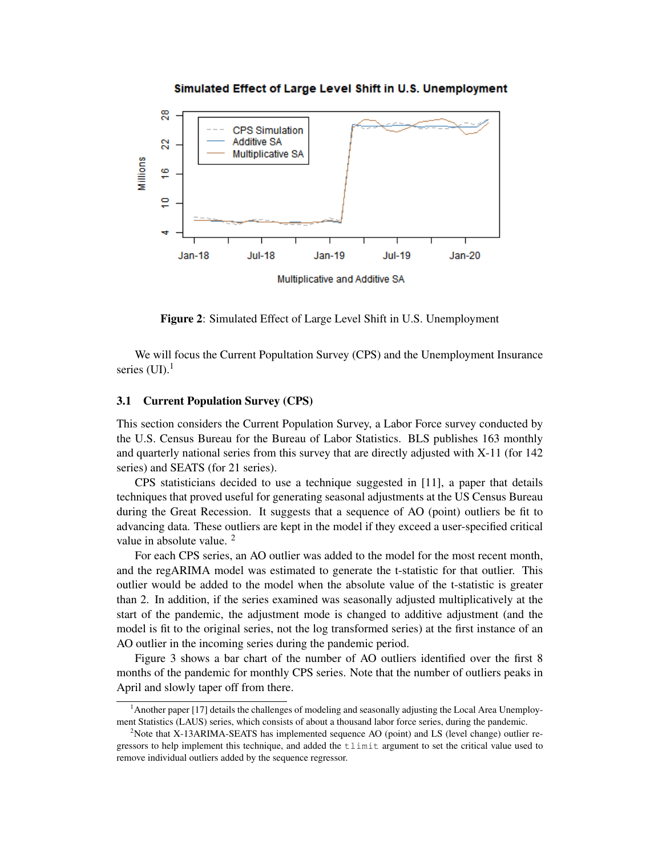

Simulated Effect of Large Level Shift in U.S. Unemployment

Figure 2: Simulated Effect of Large Level Shift in U.S. Unemployment

We will focus the Current Popultation Survey (CPS) and the Unemployment Insurance series  $(UI).<sup>1</sup>$ 

### 3.1 Current Population Survey (CPS)

This section considers the Current Population Survey, a Labor Force survey conducted by the U.S. Census Bureau for the Bureau of Labor Statistics. BLS publishes 163 monthly and quarterly national series from this survey that are directly adjusted with X-11 (for 142 series) and SEATS (for 21 series).

CPS statisticians decided to use a technique suggested in [11], a paper that details techniques that proved useful for generating seasonal adjustments at the US Census Bureau during the Great Recession. It suggests that a sequence of AO (point) outliers be fit to advancing data. These outliers are kept in the model if they exceed a user-specified critical value in absolute value. <sup>2</sup>

For each CPS series, an AO outlier was added to the model for the most recent month, and the regARIMA model was estimated to generate the t-statistic for that outlier. This outlier would be added to the model when the absolute value of the t-statistic is greater than 2. In addition, if the series examined was seasonally adjusted multiplicatively at the start of the pandemic, the adjustment mode is changed to additive adjustment (and the model is fit to the original series, not the log transformed series) at the first instance of an AO outlier in the incoming series during the pandemic period.

Figure 3 shows a bar chart of the number of AO outliers identified over the first 8 months of the pandemic for monthly CPS series. Note that the number of outliers peaks in April and slowly taper off from there.

<sup>1</sup>Another paper [17] details the challenges of modeling and seasonally adjusting the Local Area Unemployment Statistics (LAUS) series, which consists of about a thousand labor force series, during the pandemic.

<sup>&</sup>lt;sup>2</sup>Note that X-13ARIMA-SEATS has implemented sequence AO (point) and LS (level change) outlier regressors to help implement this technique, and added the tlimit argument to set the critical value used to remove individual outliers added by the sequence regressor.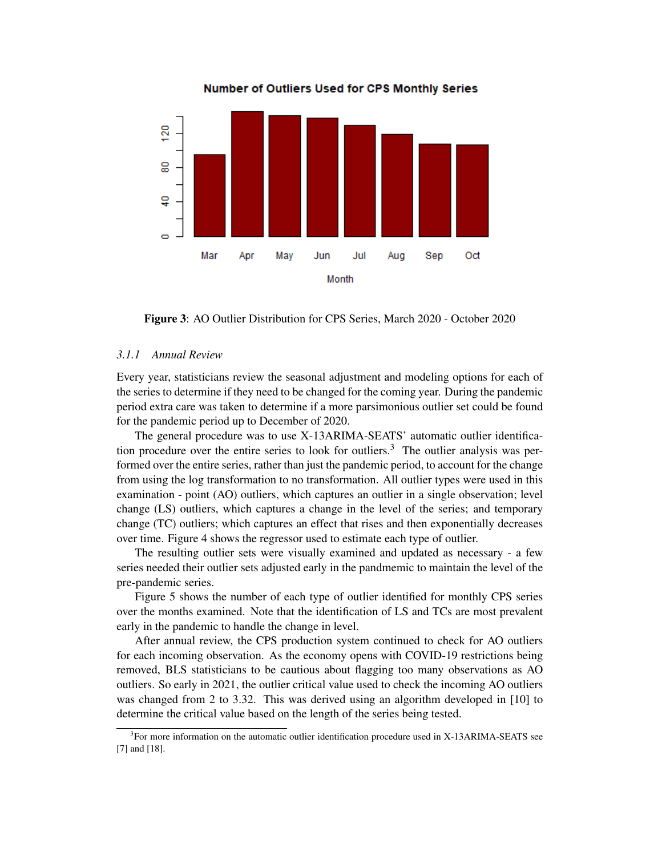

Number of Outliers Used for CPS Monthly Series

Figure 3: AO Outlier Distribution for CPS Series, March 2020 - October 2020

# *3.1.1 Annual Review*

Every year, statisticians review the seasonal adjustment and modeling options for each of the series to determine if they need to be changed for the coming year. During the pandemic period extra care was taken to determine if a more parsimonious outlier set could be found for the pandemic period up to December of 2020.

The general procedure was to use X-13ARIMA-SEATS' automatic outlier identification procedure over the entire series to look for outliers.<sup>3</sup> The outlier analysis was performed over the entire series, rather than just the pandemic period, to account for the change from using the log transformation to no transformation. All outlier types were used in this examination - point (AO) outliers, which captures an outlier in a single observation; level change (LS) outliers, which captures a change in the level of the series; and temporary change (TC) outliers; which captures an effect that rises and then exponentially decreases over time. Figure 4 shows the regressor used to estimate each type of outlier.

The resulting outlier sets were visually examined and updated as necessary - a few series needed their outlier sets adjusted early in the pandmemic to maintain the level of the pre-pandemic series.

Figure 5 shows the number of each type of outlier identified for monthly CPS series over the months examined. Note that the identification of LS and TCs are most prevalent early in the pandemic to handle the change in level.

After annual review, the CPS production system continued to check for AO outliers for each incoming observation. As the economy opens with COVID-19 restrictions being removed, BLS statisticians to be cautious about flagging too many observations as AO outliers. So early in 2021, the outlier critical value used to check the incoming AO outliers was changed from 2 to 3.32. This was derived using an algorithm developed in [10] to determine the critical value based on the length of the series being tested.

<sup>&</sup>lt;sup>3</sup>For more information on the automatic outlier identification procedure used in X-13ARIMA-SEATS see [7] and [18].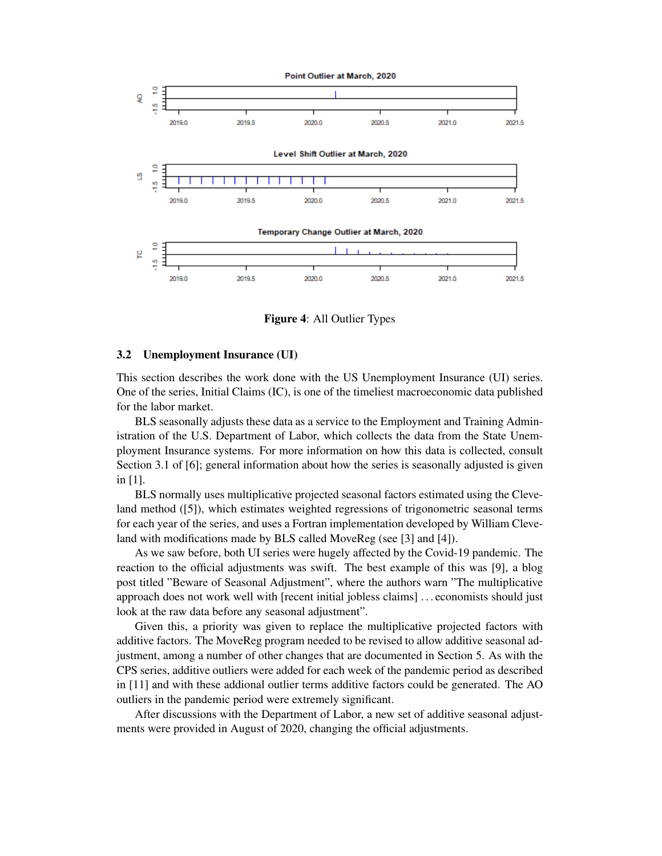

Figure 4: All Outlier Types

### 3.2 Unemployment Insurance (UI)

This section describes the work done with the US Unemployment Insurance (UI) series. One of the series, Initial Claims (IC), is one of the timeliest macroeconomic data published for the labor market.

BLS seasonally adjusts these data as a service to the Employment and Training Administration of the U.S. Department of Labor, which collects the data from the State Unemployment Insurance systems. For more information on how this data is collected, consult Section 3.1 of [6]; general information about how the series is seasonally adjusted is given in [1].

BLS normally uses multiplicative projected seasonal factors estimated using the Cleveland method ([5]), which estimates weighted regressions of trigonometric seasonal terms for each year of the series, and uses a Fortran implementation developed by William Cleveland with modifications made by BLS called MoveReg (see [3] and [4]).

As we saw before, both UI series were hugely affected by the Covid-19 pandemic. The reaction to the official adjustments was swift. The best example of this was [9], a blog post titled "Beware of Seasonal Adjustment", where the authors warn "The multiplicative approach does not work well with [recent initial jobless claims] . . . economists should just look at the raw data before any seasonal adjustment".

Given this, a priority was given to replace the multiplicative projected factors with additive factors. The MoveReg program needed to be revised to allow additive seasonal adjustment, among a number of other changes that are documented in Section 5. As with the CPS series, additive outliers were added for each week of the pandemic period as described in [11] and with these addional outlier terms additive factors could be generated. The AO outliers in the pandemic period were extremely significant.

After discussions with the Department of Labor, a new set of additive seasonal adjustments were provided in August of 2020, changing the official adjustments.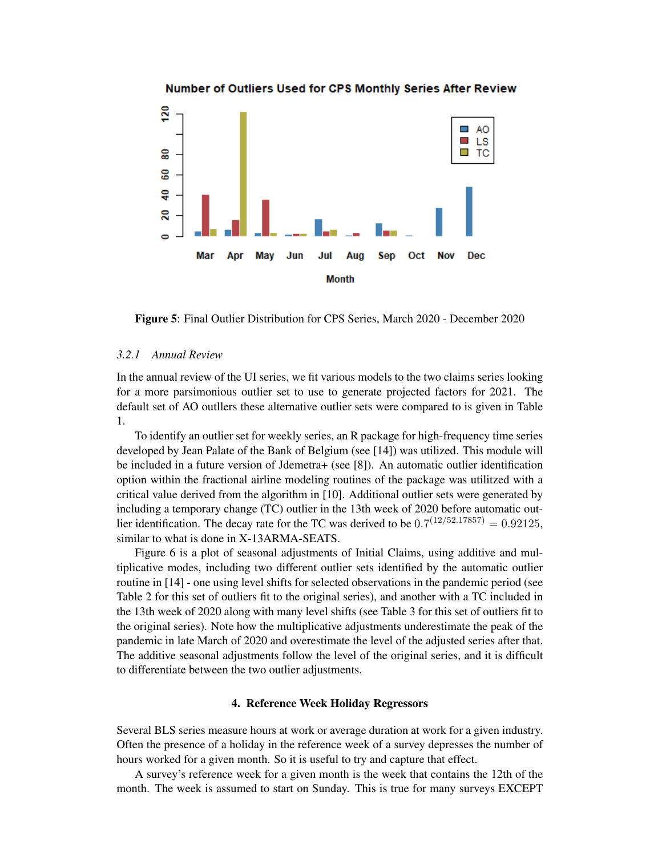

# Number of Outliers Used for CPS Monthly Series After Review

Figure 5: Final Outlier Distribution for CPS Series, March 2020 - December 2020

# *3.2.1 Annual Review*

In the annual review of the UI series, we fit various models to the two claims series looking for a more parsimonious outlier set to use to generate projected factors for 2021. The default set of AO outllers these alternative outlier sets were compared to is given in Table 1.

To identify an outlier set for weekly series, an R package for high-frequency time series developed by Jean Palate of the Bank of Belgium (see [14]) was utilized. This module will be included in a future version of Jdemetra+ (see [8]). An automatic outlier identification option within the fractional airline modeling routines of the package was utilitzed with a critical value derived from the algorithm in [10]. Additional outlier sets were generated by including a temporary change (TC) outlier in the 13th week of 2020 before automatic outlier identification. The decay rate for the TC was derived to be  $0.7^{(12/52.17857)} = 0.92125$ , similar to what is done in X-13ARMA-SEATS.

Figure 6 is a plot of seasonal adjustments of Initial Claims, using additive and multiplicative modes, including two different outlier sets identified by the automatic outlier routine in [14] - one using level shifts for selected observations in the pandemic period (see Table 2 for this set of outliers fit to the original series), and another with a TC included in the 13th week of 2020 along with many level shifts (see Table 3 for this set of outliers fit to the original series). Note how the multiplicative adjustments underestimate the peak of the pandemic in late March of 2020 and overestimate the level of the adjusted series after that. The additive seasonal adjustments follow the level of the original series, and it is difficult to differentiate between the two outlier adjustments.

## 4. Reference Week Holiday Regressors

Several BLS series measure hours at work or average duration at work for a given industry. Often the presence of a holiday in the reference week of a survey depresses the number of hours worked for a given month. So it is useful to try and capture that effect.

A survey's reference week for a given month is the week that contains the 12th of the month. The week is assumed to start on Sunday. This is true for many surveys EXCEPT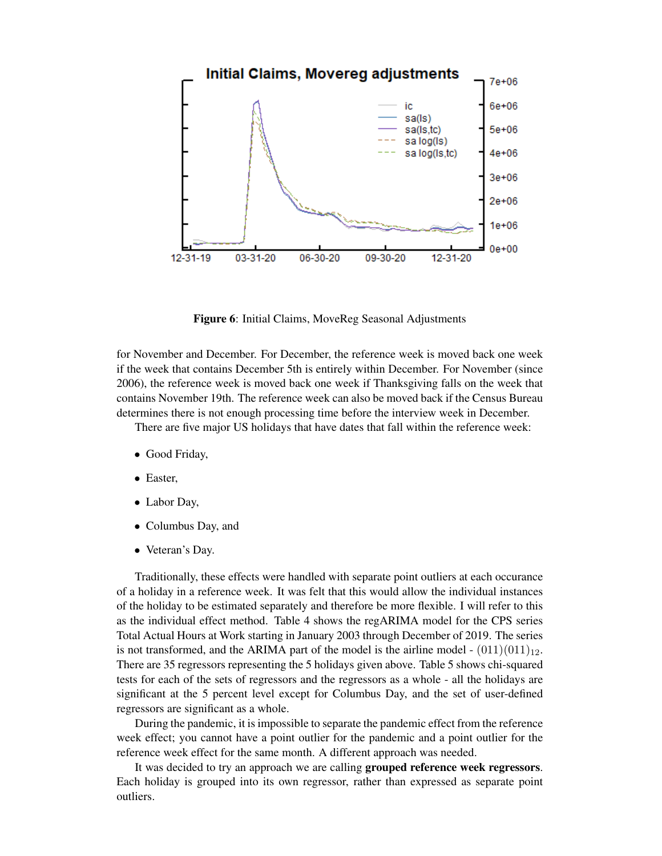

Figure 6: Initial Claims, MoveReg Seasonal Adjustments

for November and December. For December, the reference week is moved back one week if the week that contains December 5th is entirely within December. For November (since 2006), the reference week is moved back one week if Thanksgiving falls on the week that contains November 19th. The reference week can also be moved back if the Census Bureau determines there is not enough processing time before the interview week in December.

There are five major US holidays that have dates that fall within the reference week:

- Good Friday,
- Easter,
- Labor Day,
- Columbus Day, and
- Veteran's Day.

Traditionally, these effects were handled with separate point outliers at each occurance of a holiday in a reference week. It was felt that this would allow the individual instances of the holiday to be estimated separately and therefore be more flexible. I will refer to this as the individual effect method. Table 4 shows the regARIMA model for the CPS series Total Actual Hours at Work starting in January 2003 through December of 2019. The series is not transformed, and the ARIMA part of the model is the airline model -  $(011)(011)_{12}$ . There are 35 regressors representing the 5 holidays given above. Table 5 shows chi-squared tests for each of the sets of regressors and the regressors as a whole - all the holidays are significant at the 5 percent level except for Columbus Day, and the set of user-defined regressors are significant as a whole.

During the pandemic, it is impossible to separate the pandemic effect from the reference week effect; you cannot have a point outlier for the pandemic and a point outlier for the reference week effect for the same month. A different approach was needed.

It was decided to try an approach we are calling grouped reference week regressors. Each holiday is grouped into its own regressor, rather than expressed as separate point outliers.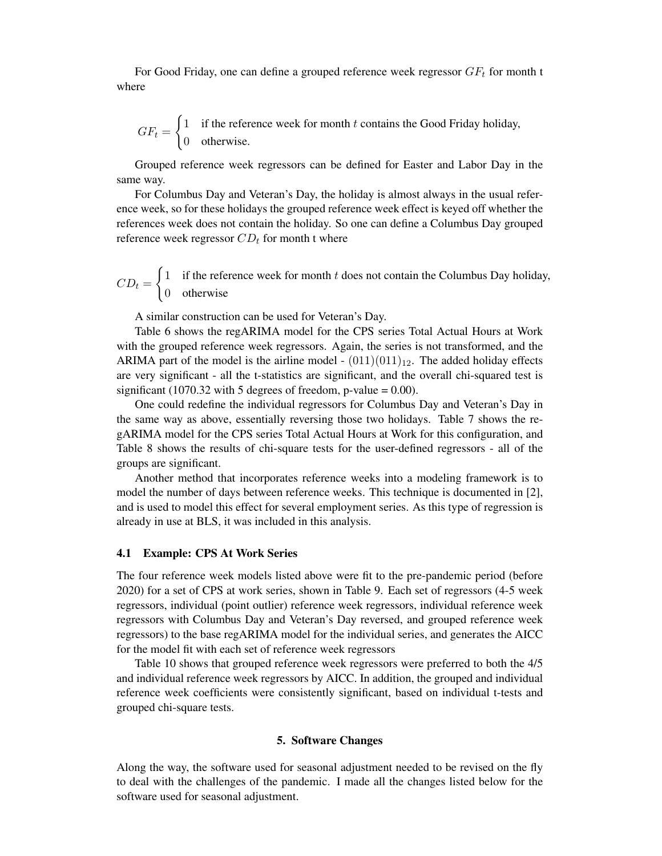For Good Friday, one can define a grouped reference week regressor  $GF_t$  for month t where

$$
GF_t = \begin{cases} 1 & \text{if the reference week for month } t \text{ contains the Good Friday holiday,} \\ 0 & \text{otherwise.} \end{cases}
$$

Grouped reference week regressors can be defined for Easter and Labor Day in the same way.

For Columbus Day and Veteran's Day, the holiday is almost always in the usual reference week, so for these holidays the grouped reference week effect is keyed off whether the references week does not contain the holiday. So one can define a Columbus Day grouped reference week regressor  $CD_t$  for month t where

 $CD_t =$  $\int$  1 if the reference week for month t does not contain the Columbus Day holiday, 0 otherwise

A similar construction can be used for Veteran's Day.

Table 6 shows the regARIMA model for the CPS series Total Actual Hours at Work with the grouped reference week regressors. Again, the series is not transformed, and the ARIMA part of the model is the airline model -  $(011)(011)_{12}$ . The added holiday effects are very significant - all the t-statistics are significant, and the overall chi-squared test is significant (1070.32 with 5 degrees of freedom, p-value =  $0.00$ ).

One could redefine the individual regressors for Columbus Day and Veteran's Day in the same way as above, essentially reversing those two holidays. Table 7 shows the regARIMA model for the CPS series Total Actual Hours at Work for this configuration, and Table 8 shows the results of chi-square tests for the user-defined regressors - all of the groups are significant.

Another method that incorporates reference weeks into a modeling framework is to model the number of days between reference weeks. This technique is documented in [2], and is used to model this effect for several employment series. As this type of regression is already in use at BLS, it was included in this analysis.

### 4.1 Example: CPS At Work Series

The four reference week models listed above were fit to the pre-pandemic period (before 2020) for a set of CPS at work series, shown in Table 9. Each set of regressors (4-5 week regressors, individual (point outlier) reference week regressors, individual reference week regressors with Columbus Day and Veteran's Day reversed, and grouped reference week regressors) to the base regARIMA model for the individual series, and generates the AICC for the model fit with each set of reference week regressors

Table 10 shows that grouped reference week regressors were preferred to both the 4/5 and individual reference week regressors by AICC. In addition, the grouped and individual reference week coefficients were consistently significant, based on individual t-tests and grouped chi-square tests.

### 5. Software Changes

Along the way, the software used for seasonal adjustment needed to be revised on the fly to deal with the challenges of the pandemic. I made all the changes listed below for the software used for seasonal adjustment.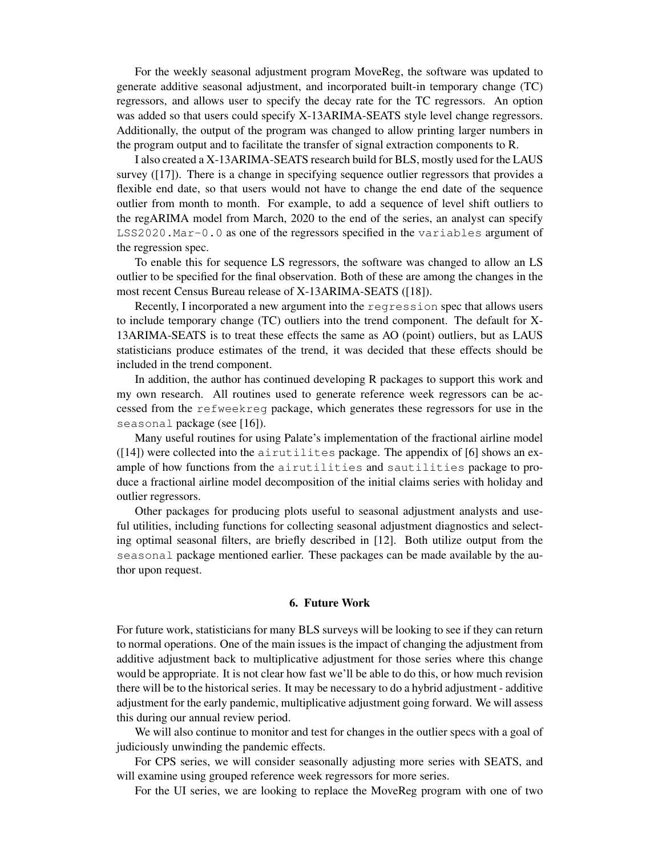For the weekly seasonal adjustment program MoveReg, the software was updated to generate additive seasonal adjustment, and incorporated built-in temporary change (TC) regressors, and allows user to specify the decay rate for the TC regressors. An option was added so that users could specify X-13ARIMA-SEATS style level change regressors. Additionally, the output of the program was changed to allow printing larger numbers in the program output and to facilitate the transfer of signal extraction components to R.

I also created a X-13ARIMA-SEATS research build for BLS, mostly used for the LAUS survey ([17]). There is a change in specifying sequence outlier regressors that provides a flexible end date, so that users would not have to change the end date of the sequence outlier from month to month. For example, to add a sequence of level shift outliers to the regARIMA model from March, 2020 to the end of the series, an analyst can specify LSS2020.Mar-0.0 as one of the regressors specified in the variables argument of the regression spec.

To enable this for sequence LS regressors, the software was changed to allow an LS outlier to be specified for the final observation. Both of these are among the changes in the most recent Census Bureau release of X-13ARIMA-SEATS ([18]).

Recently, I incorporated a new argument into the regression spec that allows users to include temporary change (TC) outliers into the trend component. The default for X-13ARIMA-SEATS is to treat these effects the same as AO (point) outliers, but as LAUS statisticians produce estimates of the trend, it was decided that these effects should be included in the trend component.

In addition, the author has continued developing R packages to support this work and my own research. All routines used to generate reference week regressors can be accessed from the refweekreg package, which generates these regressors for use in the seasonal package (see [16]).

Many useful routines for using Palate's implementation of the fractional airline model  $(14)$ ) were collected into the airutilites package. The appendix of [6] shows an example of how functions from the airutilities and sautilities package to produce a fractional airline model decomposition of the initial claims series with holiday and outlier regressors.

Other packages for producing plots useful to seasonal adjustment analysts and useful utilities, including functions for collecting seasonal adjustment diagnostics and selecting optimal seasonal filters, are briefly described in [12]. Both utilize output from the seasonal package mentioned earlier. These packages can be made available by the author upon request.

### 6. Future Work

For future work, statisticians for many BLS surveys will be looking to see if they can return to normal operations. One of the main issues is the impact of changing the adjustment from additive adjustment back to multiplicative adjustment for those series where this change would be appropriate. It is not clear how fast we'll be able to do this, or how much revision there will be to the historical series. It may be necessary to do a hybrid adjustment - additive adjustment for the early pandemic, multiplicative adjustment going forward. We will assess this during our annual review period.

We will also continue to monitor and test for changes in the outlier specs with a goal of judiciously unwinding the pandemic effects.

For CPS series, we will consider seasonally adjusting more series with SEATS, and will examine using grouped reference week regressors for more series.

For the UI series, we are looking to replace the MoveReg program with one of two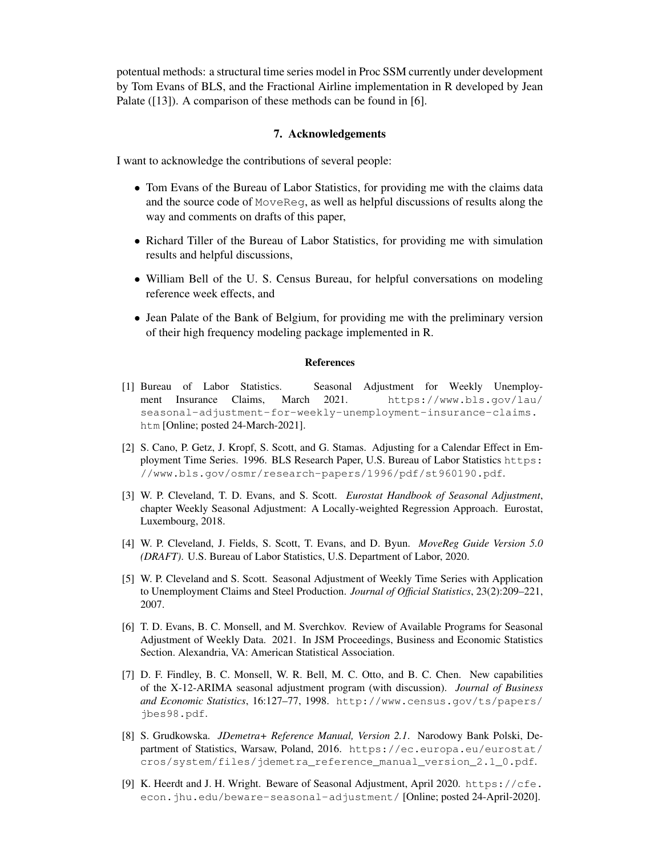potentual methods: a structural time series model in Proc SSM currently under development by Tom Evans of BLS, and the Fractional Airline implementation in R developed by Jean Palate ([13]). A comparison of these methods can be found in [6].

# 7. Acknowledgements

I want to acknowledge the contributions of several people:

- Tom Evans of the Bureau of Labor Statistics, for providing me with the claims data and the source code of MoveReg, as well as helpful discussions of results along the way and comments on drafts of this paper,
- Richard Tiller of the Bureau of Labor Statistics, for providing me with simulation results and helpful discussions,
- William Bell of the U. S. Census Bureau, for helpful conversations on modeling reference week effects, and
- Jean Palate of the Bank of Belgium, for providing me with the preliminary version of their high frequency modeling package implemented in R.

## References

- [1] Bureau of Labor Statistics. Seasonal Adjustment for Weekly Unemployment Insurance Claims, March 2021. https://www.bls.gov/lau/ seasonal-adjustment-for-weekly-unemployment-insurance-claims. htm [Online; posted 24-March-2021].
- [2] S. Cano, P. Getz, J. Kropf, S. Scott, and G. Stamas. Adjusting for a Calendar Effect in Employment Time Series. 1996. BLS Research Paper, U.S. Bureau of Labor Statistics https: //www.bls.gov/osmr/research-papers/1996/pdf/st960190.pdf.
- [3] W. P. Cleveland, T. D. Evans, and S. Scott. *Eurostat Handbook of Seasonal Adjustment*, chapter Weekly Seasonal Adjustment: A Locally-weighted Regression Approach. Eurostat, Luxembourg, 2018.
- [4] W. P. Cleveland, J. Fields, S. Scott, T. Evans, and D. Byun. *MoveReg Guide Version 5.0 (DRAFT)*. U.S. Bureau of Labor Statistics, U.S. Department of Labor, 2020.
- [5] W. P. Cleveland and S. Scott. Seasonal Adjustment of Weekly Time Series with Application to Unemployment Claims and Steel Production. *Journal of Official Statistics*, 23(2):209–221, 2007.
- [6] T. D. Evans, B. C. Monsell, and M. Sverchkov. Review of Available Programs for Seasonal Adjustment of Weekly Data. 2021. In JSM Proceedings, Business and Economic Statistics Section. Alexandria, VA: American Statistical Association.
- [7] D. F. Findley, B. C. Monsell, W. R. Bell, M. C. Otto, and B. C. Chen. New capabilities of the X-12-ARIMA seasonal adjustment program (with discussion). *Journal of Business and Economic Statistics*, 16:127–77, 1998. http://www.census.gov/ts/papers/ jbes98.pdf.
- [8] S. Grudkowska. *JDemetra+ Reference Manual, Version 2.1*. Narodowy Bank Polski, Department of Statistics, Warsaw, Poland, 2016. https://ec.europa.eu/eurostat/ cros/system/files/jdemetra\_reference\_manual\_version\_2.1\_0.pdf.
- [9] K. Heerdt and J. H. Wright. Beware of Seasonal Adjustment, April 2020. https://cfe. econ.jhu.edu/beware-seasonal-adjustment/ [Online; posted 24-April-2020].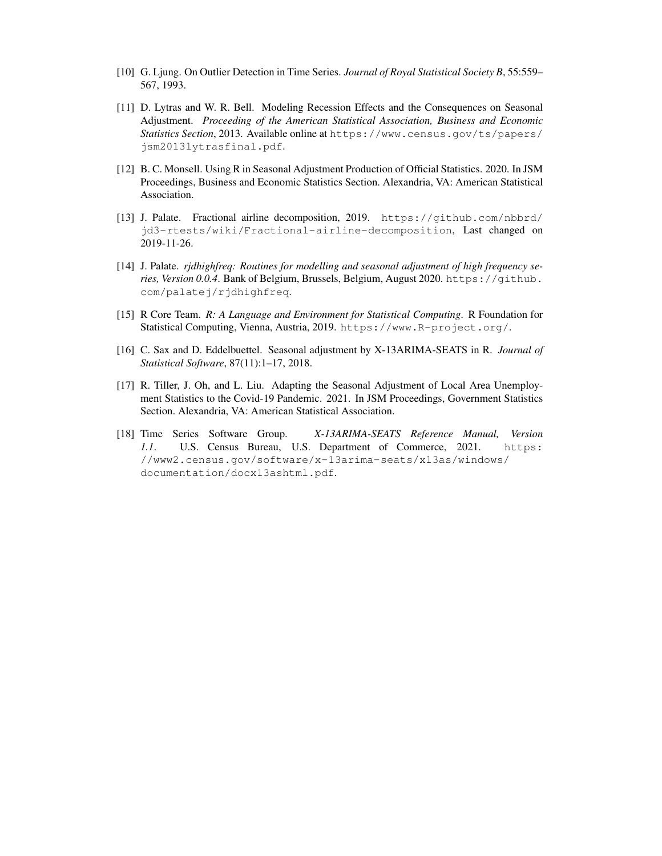- [10] G. Ljung. On Outlier Detection in Time Series. *Journal of Royal Statistical Society B*, 55:559– 567, 1993.
- [11] D. Lytras and W. R. Bell. Modeling Recession Effects and the Consequences on Seasonal Adjustment. *Proceeding of the American Statistical Association, Business and Economic Statistics Section*, 2013. Available online at https://www.census.gov/ts/papers/ jsm2013lytrasfinal.pdf.
- [12] B. C. Monsell. Using R in Seasonal Adjustment Production of Official Statistics. 2020. In JSM Proceedings, Business and Economic Statistics Section. Alexandria, VA: American Statistical Association.
- [13] J. Palate. Fractional airline decomposition, 2019. https://github.com/nbbrd/ jd3-rtests/wiki/Fractional-airline-decomposition, Last changed on 2019-11-26.
- [14] J. Palate. *rjdhighfreq: Routines for modelling and seasonal adjustment of high frequency series, Version 0.0.4*. Bank of Belgium, Brussels, Belgium, August 2020. https://github. com/palatej/rjdhighfreq.
- [15] R Core Team. *R: A Language and Environment for Statistical Computing*. R Foundation for Statistical Computing, Vienna, Austria, 2019. https://www.R-project.org/.
- [16] C. Sax and D. Eddelbuettel. Seasonal adjustment by X-13ARIMA-SEATS in R. *Journal of Statistical Software*, 87(11):1–17, 2018.
- [17] R. Tiller, J. Oh, and L. Liu. Adapting the Seasonal Adjustment of Local Area Unemployment Statistics to the Covid-19 Pandemic. 2021. In JSM Proceedings, Government Statistics Section. Alexandria, VA: American Statistical Association.
- [18] Time Series Software Group. *X-13ARIMA-SEATS Reference Manual, Version 1.1*. U.S. Census Bureau, U.S. Department of Commerce, 2021. https: //www2.census.gov/software/x-13arima-seats/x13as/windows/ documentation/docx13ashtml.pdf.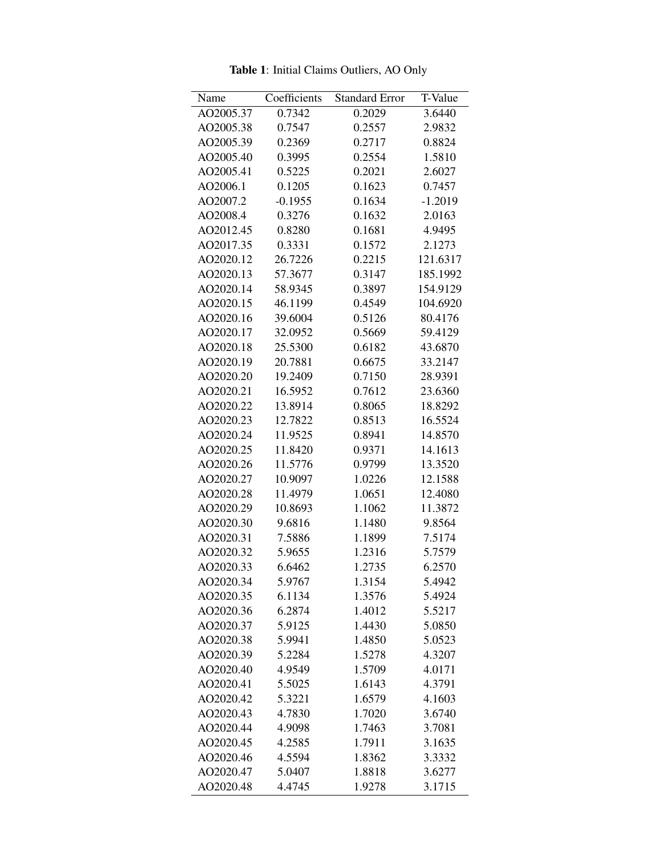| Name      | Coefficients | <b>Standard Error</b> | T-Value   |
|-----------|--------------|-----------------------|-----------|
| AO2005.37 | 0.7342       | 0.2029                | 3.6440    |
| AO2005.38 | 0.7547       | 0.2557                | 2.9832    |
| AO2005.39 | 0.2369       | 0.2717                | 0.8824    |
| AO2005.40 | 0.3995       | 0.2554                | 1.5810    |
| AO2005.41 | 0.5225       | 0.2021                | 2.6027    |
| AO2006.1  | 0.1205       | 0.1623                | 0.7457    |
| AO2007.2  | $-0.1955$    | 0.1634                | $-1.2019$ |
| AO2008.4  | 0.3276       | 0.1632                | 2.0163    |
| AO2012.45 | 0.8280       | 0.1681                | 4.9495    |
| AO2017.35 | 0.3331       | 0.1572                | 2.1273    |
| AO2020.12 | 26.7226      | 0.2215                | 121.6317  |
| AO2020.13 | 57.3677      | 0.3147                | 185.1992  |
| AO2020.14 | 58.9345      | 0.3897                | 154.9129  |
| AO2020.15 | 46.1199      | 0.4549                | 104.6920  |
| AO2020.16 | 39.6004      | 0.5126                | 80.4176   |
| AO2020.17 | 32.0952      | 0.5669                | 59.4129   |
| AO2020.18 | 25.5300      | 0.6182                | 43.6870   |
| AO2020.19 | 20.7881      | 0.6675                | 33.2147   |
| AO2020.20 | 19.2409      | 0.7150                | 28.9391   |
| AO2020.21 | 16.5952      | 0.7612                | 23.6360   |
| AO2020.22 | 13.8914      | 0.8065                | 18.8292   |
| AO2020.23 | 12.7822      | 0.8513                | 16.5524   |
| AO2020.24 | 11.9525      | 0.8941                | 14.8570   |
| AO2020.25 | 11.8420      | 0.9371                | 14.1613   |
| AO2020.26 | 11.5776      | 0.9799                | 13.3520   |
| AO2020.27 | 10.9097      | 1.0226                | 12.1588   |
| AO2020.28 | 11.4979      | 1.0651                | 12.4080   |
| AO2020.29 | 10.8693      | 1.1062                | 11.3872   |
| AO2020.30 | 9.6816       | 1.1480                | 9.8564    |
| AO2020.31 | 7.5886       | 1.1899                | 7.5174    |
| AO2020.32 | 5.9655       | 1.2316                | 5.7579    |
| AO2020.33 | 6.6462       | 1.2735                | 6.2570    |
| AO2020.34 | 5.9767       | 1.3154                | 5.4942    |
| AO2020.35 | 6.1134       | 1.3576                | 5.4924    |
| AO2020.36 | 6.2874       | 1.4012                | 5.5217    |
| AO2020.37 | 5.9125       | 1.4430                | 5.0850    |
| AO2020.38 | 5.9941       | 1.4850                | 5.0523    |
| AO2020.39 | 5.2284       | 1.5278                | 4.3207    |
| AO2020.40 | 4.9549       | 1.5709                | 4.0171    |
| AO2020.41 | 5.5025       | 1.6143                | 4.3791    |
| AO2020.42 | 5.3221       | 1.6579                | 4.1603    |
| AO2020.43 | 4.7830       | 1.7020                | 3.6740    |
| AO2020.44 | 4.9098       | 1.7463                | 3.7081    |
| AO2020.45 | 4.2585       | 1.7911                | 3.1635    |
| AO2020.46 | 4.5594       | 1.8362                | 3.3332    |
| AO2020.47 | 5.0407       | 1.8818                | 3.6277    |
| AO2020.48 | 4.4745       | 1.9278                | 3.1715    |

Table 1: Initial Claims Outliers, AO Only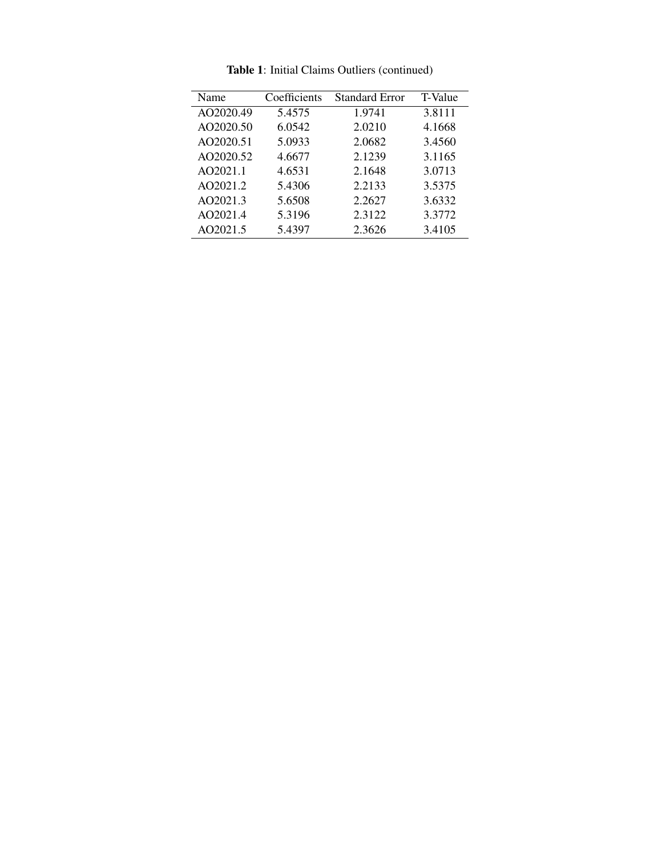| Name      | Coefficients | Standard Error | T-Value |
|-----------|--------------|----------------|---------|
| AO2020.49 | 5.4575       | 1.9741         | 3.8111  |
| AO2020.50 | 6.0542       | 2.0210         | 4.1668  |
| AO2020.51 | 5.0933       | 2.0682         | 3.4560  |
| AO2020.52 | 4.6677       | 2.1239         | 3.1165  |
| AO2021.1  | 4.6531       | 2.1648         | 3.0713  |
| AO2021.2  | 5.4306       | 2.2133         | 3.5375  |
| AO2021.3  | 5.6508       | 2.2627         | 3.6332  |
| AO2021.4  | 5.3196       | 2.3122         | 3.3772  |
| AO2021.5  | 5.4397       | 2.3626         | 3.4105  |
|           |              |                |         |

Table 1: Initial Claims Outliers (continued)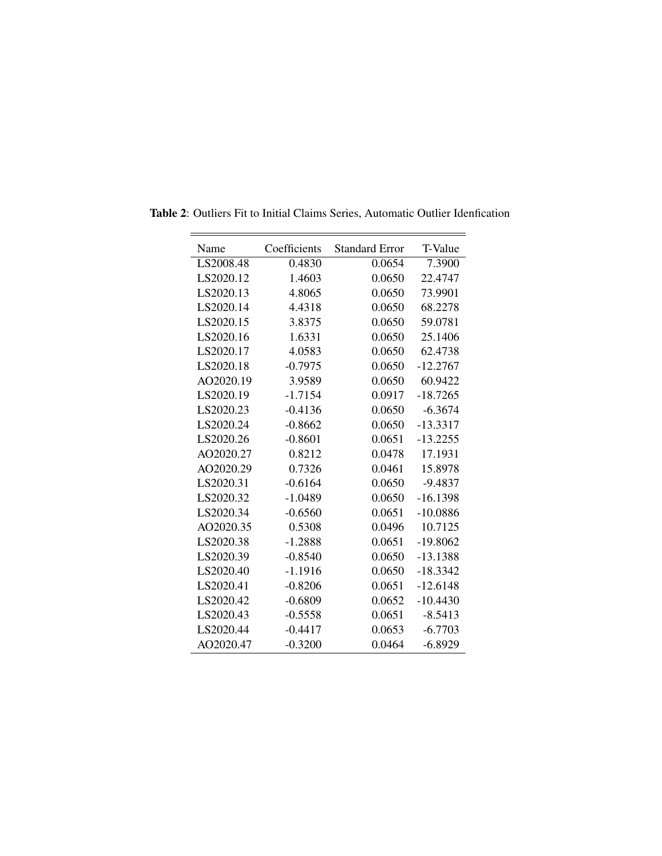| Name      | Coefficients | <b>Standard Error</b> | T-Value    |
|-----------|--------------|-----------------------|------------|
| LS2008.48 | 0.4830       | 0.0654                | 7.3900     |
| LS2020.12 | 1.4603       | 0.0650                | 22.4747    |
| LS2020.13 | 4.8065       | 0.0650                | 73.9901    |
| LS2020.14 | 4.4318       | 0.0650                | 68.2278    |
| LS2020.15 | 3.8375       | 0.0650                | 59.0781    |
| LS2020.16 | 1.6331       | 0.0650                | 25.1406    |
| LS2020.17 | 4.0583       | 0.0650                | 62.4738    |
| LS2020.18 | $-0.7975$    | 0.0650                | $-12.2767$ |
| AO2020.19 | 3.9589       | 0.0650                | 60.9422    |
| LS2020.19 | $-1.7154$    | 0.0917                | $-18.7265$ |
| LS2020.23 | $-0.4136$    | 0.0650                | $-6.3674$  |
| LS2020.24 | $-0.8662$    | 0.0650                | $-13.3317$ |
| LS2020.26 | $-0.8601$    | 0.0651                | $-13.2255$ |
| AO2020.27 | 0.8212       | 0.0478                | 17.1931    |
| AO2020.29 | 0.7326       | 0.0461                | 15.8978    |
| LS2020.31 | $-0.6164$    | 0.0650                | $-9.4837$  |
| LS2020.32 | $-1.0489$    | 0.0650                | $-16.1398$ |
| LS2020.34 | $-0.6560$    | 0.0651                | $-10.0886$ |
| AO2020.35 | 0.5308       | 0.0496                | 10.7125    |
| LS2020.38 | $-1.2888$    | 0.0651                | $-19.8062$ |
| LS2020.39 | $-0.8540$    | 0.0650                | $-13.1388$ |
| LS2020.40 | $-1.1916$    | 0.0650                | $-18.3342$ |
| LS2020.41 | $-0.8206$    | 0.0651                | $-12.6148$ |
| LS2020.42 | $-0.6809$    | 0.0652                | $-10.4430$ |
| LS2020.43 | $-0.5558$    | 0.0651                | $-8.5413$  |
| LS2020.44 | $-0.4417$    | 0.0653                | $-6.7703$  |
| AO2020.47 | $-0.3200$    | 0.0464                | $-6.8929$  |

Table 2: Outliers Fit to Initial Claims Series, Automatic Outlier Idenfication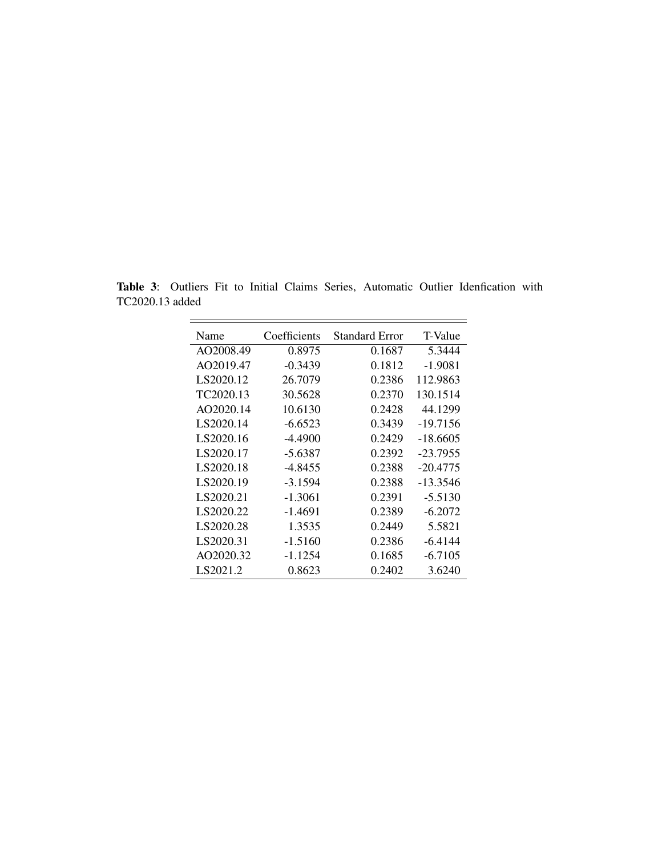Table 3: Outliers Fit to Initial Claims Series, Automatic Outlier Idenfication with TC2020.13 added

| Name      | Coefficients | Standard Error | T-Value    |
|-----------|--------------|----------------|------------|
| AO2008.49 | 0.8975       | 0.1687         | 5.3444     |
| AO2019.47 | $-0.3439$    | 0.1812         | $-1.9081$  |
| LS2020.12 | 26.7079      | 0.2386         | 112.9863   |
| TC2020.13 | 30.5628      | 0.2370         | 130.1514   |
| AO2020.14 | 10.6130      | 0.2428         | 44.1299    |
| LS2020.14 | $-6.6523$    | 0.3439         | $-19.7156$ |
| LS2020.16 | $-4.4900$    | 0.2429         | -18.6605   |
| LS2020.17 | $-5.6387$    | 0.2392         | $-23.7955$ |
| LS2020.18 | $-4.8455$    | 0.2388         | $-20.4775$ |
| LS2020.19 | $-3.1594$    | 0.2388         | $-13.3546$ |
| LS2020.21 | $-1.3061$    | 0.2391         | $-5.5130$  |
| LS2020.22 | -1.4691      | 0.2389         | $-6.2072$  |
| LS2020.28 | 1.3535       | 0.2449         | 5.5821     |
| LS2020.31 | $-1.5160$    | 0.2386         | $-6.4144$  |
| AO2020.32 | $-1.1254$    | 0.1685         | $-6.7105$  |
| LS2021.2  | 0.8623       | 0.2402         | 3.6240     |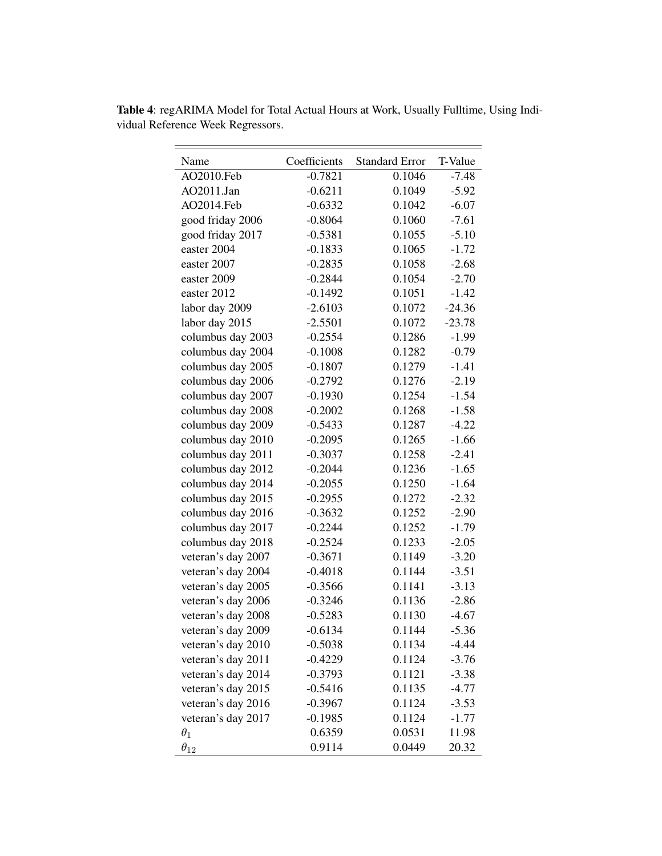| Name               | Coefficients | <b>Standard Error</b> | T-Value  |
|--------------------|--------------|-----------------------|----------|
| AO2010.Feb         | $-0.7821$    | 0.1046                | $-7.48$  |
| AO2011.Jan         | $-0.6211$    | 0.1049                | $-5.92$  |
| AO2014.Feb         | $-0.6332$    | 0.1042                | $-6.07$  |
| good friday 2006   | $-0.8064$    | 0.1060                | $-7.61$  |
| good friday 2017   | $-0.5381$    | 0.1055                | $-5.10$  |
| easter 2004        | $-0.1833$    | 0.1065                | $-1.72$  |
| easter 2007        | $-0.2835$    | 0.1058                | $-2.68$  |
| easter 2009        | $-0.2844$    | 0.1054                | $-2.70$  |
| easter 2012        | $-0.1492$    | 0.1051                | $-1.42$  |
| labor day 2009     | $-2.6103$    | 0.1072                | $-24.36$ |
| labor day 2015     | $-2.5501$    | 0.1072                | $-23.78$ |
| columbus day 2003  | $-0.2554$    | 0.1286                | $-1.99$  |
| columbus day 2004  | $-0.1008$    | 0.1282                | $-0.79$  |
| columbus day 2005  | $-0.1807$    | 0.1279                | $-1.41$  |
| columbus day 2006  | $-0.2792$    | 0.1276                | $-2.19$  |
| columbus day 2007  | $-0.1930$    | 0.1254                | $-1.54$  |
| columbus day 2008  | $-0.2002$    | 0.1268                | $-1.58$  |
| columbus day 2009  | $-0.5433$    | 0.1287                | $-4.22$  |
| columbus day 2010  | $-0.2095$    | 0.1265                | $-1.66$  |
| columbus day 2011  | $-0.3037$    | 0.1258                | $-2.41$  |
| columbus day 2012  | $-0.2044$    | 0.1236                | $-1.65$  |
| columbus day 2014  | $-0.2055$    | 0.1250                | $-1.64$  |
| columbus day 2015  | $-0.2955$    | 0.1272                | $-2.32$  |
| columbus day 2016  | $-0.3632$    | 0.1252                | $-2.90$  |
| columbus day 2017  | $-0.2244$    | 0.1252                | $-1.79$  |
| columbus day 2018  | $-0.2524$    | 0.1233                | $-2.05$  |
| veteran's day 2007 | $-0.3671$    | 0.1149                | $-3.20$  |
| veteran's day 2004 | $-0.4018$    | 0.1144                | $-3.51$  |
| veteran's day 2005 | $-0.3566$    | 0.1141                | $-3.13$  |
| veteran's day 2006 | $-0.3246$    | 0.1136                | $-2.86$  |
| veteran's day 2008 | $-0.5283$    | 0.1130                | $-4.67$  |
| veteran's day 2009 | $-0.6134$    | 0.1144                | $-5.36$  |
| veteran's day 2010 | $-0.5038$    | 0.1134                | $-4.44$  |
| veteran's day 2011 | $-0.4229$    | 0.1124                | $-3.76$  |
| veteran's day 2014 | $-0.3793$    | 0.1121                | $-3.38$  |
| veteran's day 2015 | $-0.5416$    | 0.1135                | $-4.77$  |
| veteran's day 2016 | $-0.3967$    | 0.1124                | $-3.53$  |
| veteran's day 2017 | $-0.1985$    | 0.1124                | $-1.77$  |
| $\theta_1$         | 0.6359       | 0.0531                | 11.98    |
| $\theta_{12}$      | 0.9114       | 0.0449                | 20.32    |

Table 4: regARIMA Model for Total Actual Hours at Work, Usually Fulltime, Using Individual Reference Week Regressors.

 $\overline{\phantom{0}}$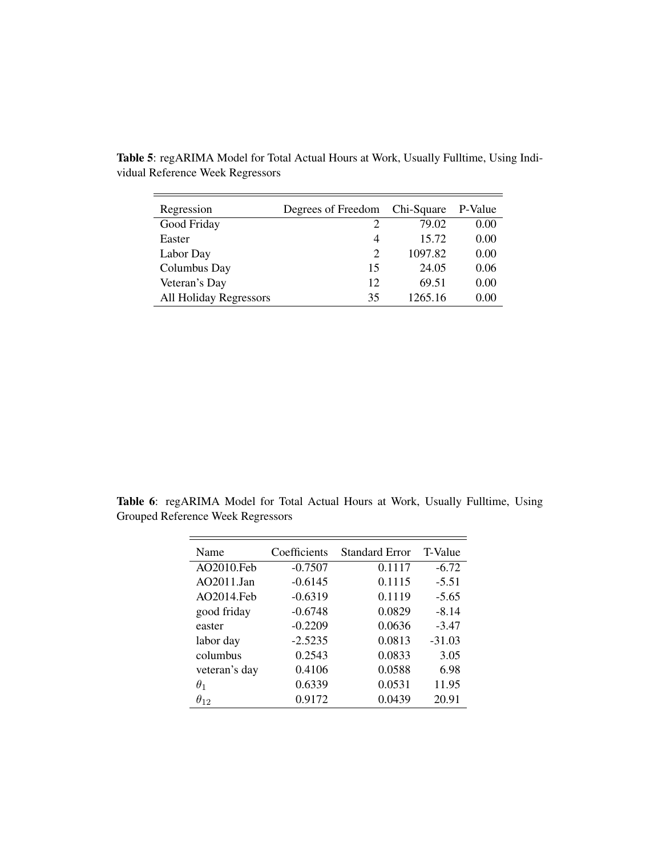| Regression             | Degrees of Freedom          | Chi-Square | P-Value |
|------------------------|-----------------------------|------------|---------|
| Good Friday            | 2                           | 79.02      | 0.00    |
| Easter                 | 4                           | 15.72      | 0.00    |
| Labor Day              | $\mathcal{D}_{\mathcal{L}}$ | 1097.82    | 0.00    |
| Columbus Day           | 15                          | 24.05      | 0.06    |
| Veteran's Day          | 12                          | 69.51      | 0.00    |
| All Holiday Regressors | 35                          | 1265.16    | 0.00    |

Table 5: regARIMA Model for Total Actual Hours at Work, Usually Fulltime, Using Individual Reference Week Regressors

Table 6: regARIMA Model for Total Actual Hours at Work, Usually Fulltime, Using Grouped Reference Week Regressors

| Name          | Coefficients | <b>Standard Error</b> | T-Value  |
|---------------|--------------|-----------------------|----------|
| AO2010.Feb    | $-0.7507$    | 0.1117                | $-6.72$  |
| AO2011.Jan    | $-0.6145$    | 0.1115                | $-5.51$  |
| AO2014.Feb    | $-0.6319$    | 0.1119                | $-5.65$  |
| good friday   | $-0.6748$    | 0.0829                | $-8.14$  |
| easter        | $-0.2209$    | 0.0636                | $-3.47$  |
| labor day     | $-2.5235$    | 0.0813                | $-31.03$ |
| columbus      | 0.2543       | 0.0833                | 3.05     |
| veteran's day | 0.4106       | 0.0588                | 6.98     |
| $\theta_1$    | 0.6339       | 0.0531                | 11.95    |
| $\theta_{12}$ | 0.9172       | 0.0439                | 20.91    |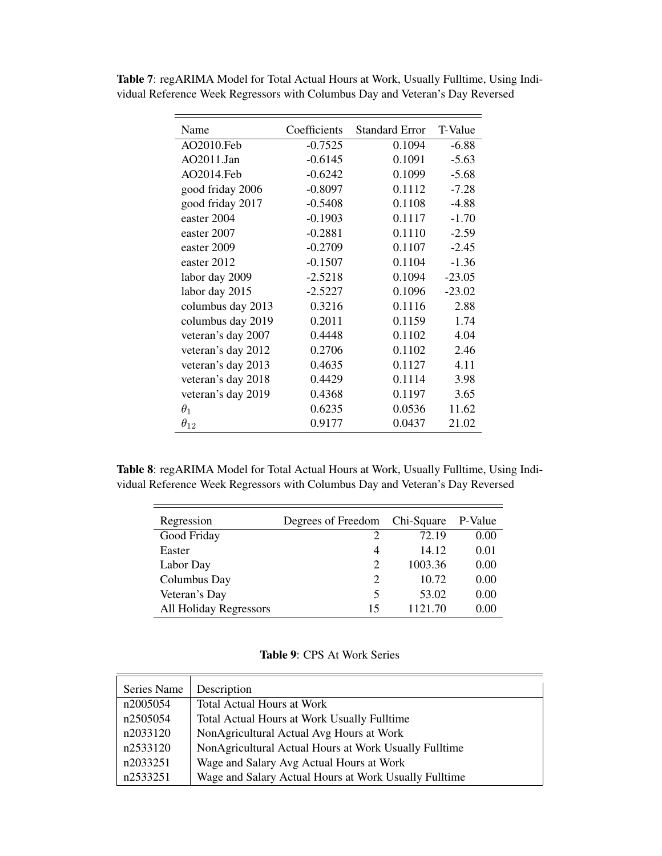| Name               | Coefficients | <b>Standard Error</b> | T-Value  |
|--------------------|--------------|-----------------------|----------|
| AO2010.Feb         | $-0.7525$    | 0.1094                | $-6.88$  |
| AO2011.Jan         | $-0.6145$    | 0.1091                | $-5.63$  |
| AO2014.Feb         | $-0.6242$    | 0.1099                | $-5.68$  |
| good friday 2006   | $-0.8097$    | 0.1112                | $-7.28$  |
| good friday 2017   | $-0.5408$    | 0.1108                | $-4.88$  |
| easter 2004        | $-0.1903$    | 0.1117                | $-1.70$  |
| easter 2007        | $-0.2881$    | 0.1110                | $-2.59$  |
| easter 2009        | $-0.2709$    | 0.1107                | $-2.45$  |
| easter 2012        | $-0.1507$    | 0.1104                | $-1.36$  |
| labor day 2009     | $-2.5218$    | 0.1094                | $-23.05$ |
| labor day 2015     | $-2.5227$    | 0.1096                | $-23.02$ |
| columbus day 2013  | 0.3216       | 0.1116                | 2.88     |
| columbus day 2019  | 0.2011       | 0.1159                | 1.74     |
| veteran's day 2007 | 0.4448       | 0.1102                | 4.04     |
| veteran's day 2012 | 0.2706       | 0.1102                | 2.46     |
| veteran's day 2013 | 0.4635       | 0.1127                | 4.11     |
| veteran's day 2018 | 0.4429       | 0.1114                | 3.98     |
| veteran's day 2019 | 0.4368       | 0.1197                | 3.65     |
| $\theta_1$         | 0.6235       | 0.0536                | 11.62    |
| $\theta_{12}$      | 0.9177       | 0.0437                | 21.02    |

Table 7: regARIMA Model for Total Actual Hours at Work, Usually Fulltime, Using Individual Reference Week Regressors with Columbus Day and Veteran's Day Reversed

Table 8: regARIMA Model for Total Actual Hours at Work, Usually Fulltime, Using Individual Reference Week Regressors with Columbus Day and Veteran's Day Reversed

| Regression                    | Degrees of Freedom          | Chi-Square | P-Value |
|-------------------------------|-----------------------------|------------|---------|
| Good Friday                   | $\mathcal{D}$               | 72.19      | 0.00    |
| Easter                        | 4                           | 14.12      | 0.01    |
| Labor Day                     | 2                           | 1003.36    | 0.00    |
| Columbus Day                  | $\mathcal{D}_{\mathcal{L}}$ | 10.72      | 0.00    |
| Veteran's Day                 | 5                           | 53.02      | 0.00    |
| <b>All Holiday Regressors</b> | 15                          | 1121.70    | 0.00    |

| Table 9: CPS At Work Series |  |  |  |  |  |
|-----------------------------|--|--|--|--|--|
|-----------------------------|--|--|--|--|--|

| Series Name | Description                                           |
|-------------|-------------------------------------------------------|
| n2005054    | <b>Total Actual Hours at Work</b>                     |
| n2505054    | <b>Total Actual Hours at Work Usually Fulltime</b>    |
| n2033120    | NonAgricultural Actual Avg Hours at Work              |
| n2533120    | NonAgricultural Actual Hours at Work Usually Fulltime |
| n2033251    | Wage and Salary Avg Actual Hours at Work              |
| n2533251    | Wage and Salary Actual Hours at Work Usually Fulltime |